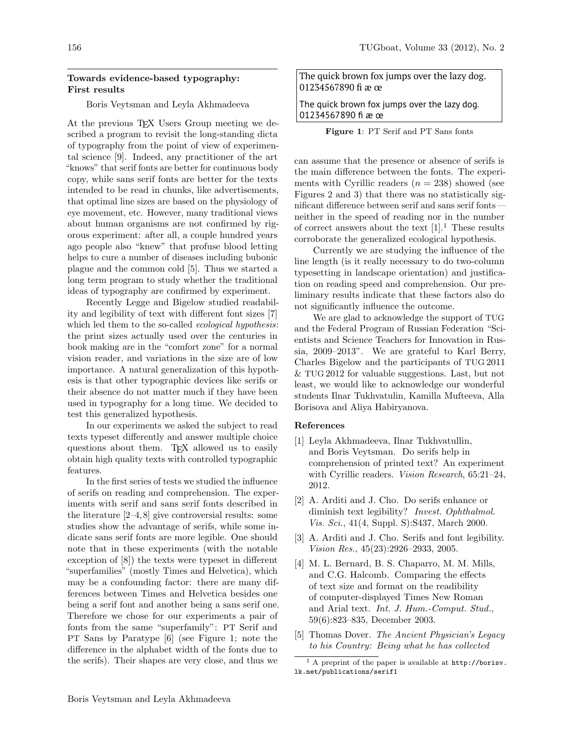## Towards evidence-based typography: First results

Boris Veytsman and Leyla Akhmadeeva

At the previous T<sub>F</sub>X Users Group meeting we described a program to revisit the long-standing dicta of typography from the point of view of experimental science [9]. Indeed, any practitioner of the art "knows" that serif fonts are better for continuous body copy, while sans serif fonts are better for the texts intended to be read in chunks, like advertisements, that optimal line sizes are based on the physiology of eye movement, etc. However, many traditional views about human organisms are not confirmed by rigorous experiment: after all, a couple hundred years ago people also "knew" that profuse blood letting helps to cure a number of diseases including bubonic plague and the common cold [5]. Thus we started a long term program to study whether the traditional ideas of typography are confirmed by experiment.

Recently Legge and Bigelow studied readability and legibility of text with different font sizes [7] which led them to the so-called *ecological hypothesis*: the print sizes actually used over the centuries in book making are in the "comfort zone" for a normal vision reader, and variations in the size are of low importance. A natural generalization of this hypothesis is that other typographic devices like serifs or their absence do not matter much if they have been used in typography for a long time. We decided to test this generalized hypothesis.

In our experiments we asked the subject to read texts typeset differently and answer multiple choice questions about them. T<sub>EX</sub> allowed us to easily obtain high quality texts with controlled typographic features.

In the first series of tests we studied the influence of serifs on reading and comprehension. The experiments with serif and sans serif fonts described in the literature [2–4, 8] give controversial results: some studies show the advantage of serifs, while some indicate sans serif fonts are more legible. One should note that in these experiments (with the notable exception of [8]) the texts were typeset in different "superfamilies" (mostly Times and Helvetica), which may be a confounding factor: there are many differences between Times and Helvetica besides one being a serif font and another being a sans serif one. Therefore we chose for our experiments a pair of fonts from the same "superfamily": PT Serif and PT Sans by Paratype [6] (see Figure 1; note the difference in the alphabet width of the fonts due to the serifs). Their shapes are very close, and thus we

The quick brown fox jumps over the lazy dog. 01234567890 fi æ œ

The quick brown fox jumps over the lazy dog. 01234567890 fi æ œ

Figure 1: PT Serif and PT Sans fonts

can assume that the presence or absence of serifs is the main difference between the fonts. The experiments with Cyrillic readers  $(n = 238)$  showed (see Figures 2 and 3) that there was no statistically significant difference between serif and sans serif fonts neither in the speed of reading nor in the number of correct answers about the text  $[1]$ .<sup>1</sup> These results corroborate the generalized ecological hypothesis.

Currently we are studying the influence of the line length (is it really necessary to do two-column typesetting in landscape orientation) and justification on reading speed and comprehension. Our preliminary results indicate that these factors also do not significantly influence the outcome.

We are glad to acknowledge the support of TUG and the Federal Program of Russian Federation "Scientists and Science Teachers for Innovation in Russia, 2009–2013". We are grateful to Karl Berry, Charles Bigelow and the participants of TUG 2011 & TUG 2012 for valuable suggestions. Last, but not least, we would like to acknowledge our wonderful students Ilnar Tukhvatulin, Kamilla Mufteeva, Alla Borisova and Aliya Habiryanova.

## References

- [1] Leyla Akhmadeeva, Ilnar Tukhvatullin, and Boris Veytsman. Do serifs help in comprehension of printed text? An experiment with Cyrillic readers. *Vision Research*, 65:21–24, 2012.
- [2] A. Arditi and J. Cho. Do serifs enhance or diminish text legibility? *Invest. Ophthalmol. Vis. Sci.*, 41(4, Suppl. S):S437, March 2000.
- [3] A. Arditi and J. Cho. Serifs and font legibility. *Vision Res.*, 45(23):2926–2933, 2005.
- [4] M. L. Bernard, B. S. Chaparro, M. M. Mills, and C.G. Halcomb. Comparing the effects of text size and format on the readibility of computer-displayed Times New Roman and Arial text. *Int. J. Hum.-Comput. Stud.*, 59(6):823–835, December 2003.
- [5] Thomas Dover. *The Ancient Physician's Legacy to his Country: Being what he has collected*

 $<sup>1</sup>$  A preprint of the paper is available at http://borisv.</sup> lk.net/publications/serif1